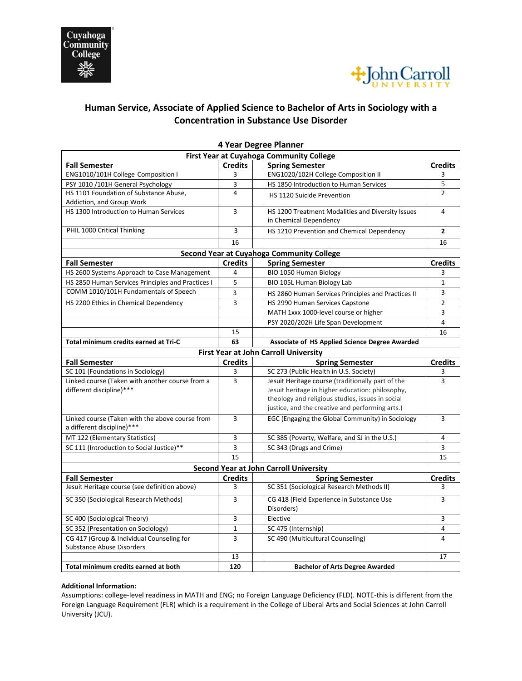



## **Human Service, Associate of Applied Science to Bachelor of Arts in Sociology with a Concentration in Substance Use Disorder**

| <b>First Year at Cuyahoga Community College</b>   |                |  |                                                    |                |
|---------------------------------------------------|----------------|--|----------------------------------------------------|----------------|
| <b>Fall Semester</b>                              | <b>Credits</b> |  | <b>Spring Semester</b>                             | <b>Credits</b> |
| ENG1010/101H College Composition I                | 3              |  | ENG1020/102H College Composition II                | 3              |
| PSY 1010 /101H General Psychology                 | 3              |  | HS 1850 Introduction to Human Services             | 5              |
| HS 1101 Foundation of Substance Abuse,            | 4              |  | HS 1120 Suicide Prevention                         | $\mathfrak{p}$ |
| Addiction, and Group Work                         |                |  |                                                    |                |
| HS 1300 Introduction to Human Services            | 3              |  | HS 1200 Treatment Modalities and Diversity Issues  | 4              |
|                                                   |                |  | in Chemical Dependency                             |                |
| PHIL 1000 Critical Thinking                       | 3              |  | HS 1210 Prevention and Chemical Dependency         | $\mathbf{2}$   |
|                                                   | 16             |  |                                                    | 16             |
| <b>Second Year at Cuyahoga Community College</b>  |                |  |                                                    |                |
| <b>Fall Semester</b>                              | <b>Credits</b> |  | <b>Spring Semester</b>                             | <b>Credits</b> |
| HS 2600 Systems Approach to Case Management       | 4              |  | BIO 1050 Human Biology                             | 3              |
| HS 2850 Human Services Principles and Practices I | 5              |  | BIO 105L Human Biology Lab                         | $\mathbf{1}$   |
| COMM 1010/101H Fundamentals of Speech             | 3              |  | HS 2860 Human Services Principles and Practices II | 3              |
| HS 2200 Ethics in Chemical Dependency             | 3              |  | HS 2990 Human Services Capstone                    | $\overline{2}$ |
|                                                   |                |  | MATH 1xxx 1000-level course or higher              | 3              |
|                                                   |                |  | PSY 2020/202H Life Span Development                | 4              |
|                                                   | 15             |  |                                                    | 16             |
| Total minimum credits earned at Tri-C             | 63             |  | Associate of HS Applied Science Degree Awarded     |                |
| <b>First Year at John Carroll University</b>      |                |  |                                                    |                |
| <b>Fall Semester</b>                              | <b>Credits</b> |  | <b>Spring Semester</b>                             | <b>Credits</b> |
| SC 101 (Foundations in Sociology)                 | 3              |  | SC 273 (Public Health in U.S. Society)             | 3              |
| Linked course (Taken with another course from a   | 3              |  | Jesuit Heritage course (traditionally part of the  | 3              |
| different discipline)***                          |                |  | Jesuit heritage in higher education: philosophy,   |                |
|                                                   |                |  | theology and religious studies, issues in social   |                |
|                                                   |                |  | justice, and the creative and performing arts.)    |                |
| Linked course (Taken with the above course from   | 3              |  | EGC (Engaging the Global Community) in Sociology   | 3              |
| a different discipline)***                        |                |  |                                                    |                |
| MT 122 (Elementary Statistics)                    | 3              |  | SC 385 (Poverty, Welfare, and SJ in the U.S.)      | 4              |
| SC 111 (Introduction to Social Justice)**         | 3              |  | SC 343 (Drugs and Crime)                           | 3              |
|                                                   | 15             |  |                                                    | 15             |
| <b>Second Year at John Carroll University</b>     |                |  |                                                    |                |
| <b>Fall Semester</b>                              | <b>Credits</b> |  | <b>Spring Semester</b>                             | <b>Credits</b> |
| Jesuit Heritage course (see definition above)     | 3              |  | SC 351 (Sociological Research Methods II)          | 3              |
| SC 350 (Sociological Research Methods)            | 3              |  | CG 418 (Field Experience in Substance Use          | 3              |
|                                                   |                |  | Disorders)                                         |                |
| SC 400 (Sociological Theory)                      | 3              |  | Elective                                           | 3              |
| SC 352 (Presentation on Sociology)                | $\mathbf{1}$   |  | SC 475 (Internship)                                | 4              |
|                                                   |                |  |                                                    |                |
| CG 417 (Group & Individual Counseling for         | 3              |  | SC 490 (Multicultural Counseling)                  | 4              |
| <b>Substance Abuse Disorders</b>                  |                |  |                                                    |                |
| Total minimum credits earned at both              | 13<br>120      |  |                                                    | 17             |

## **4 Year Degree Planner**

## **Additional Information:**

Assumptions: college-level readiness in MATH and ENG; no Foreign Language Deficiency (FLD). NOTE-this is different from the Foreign Language Requirement (FLR) which is a requirement in the College of Liberal Arts and Social Sciences at John Carroll University (JCU).